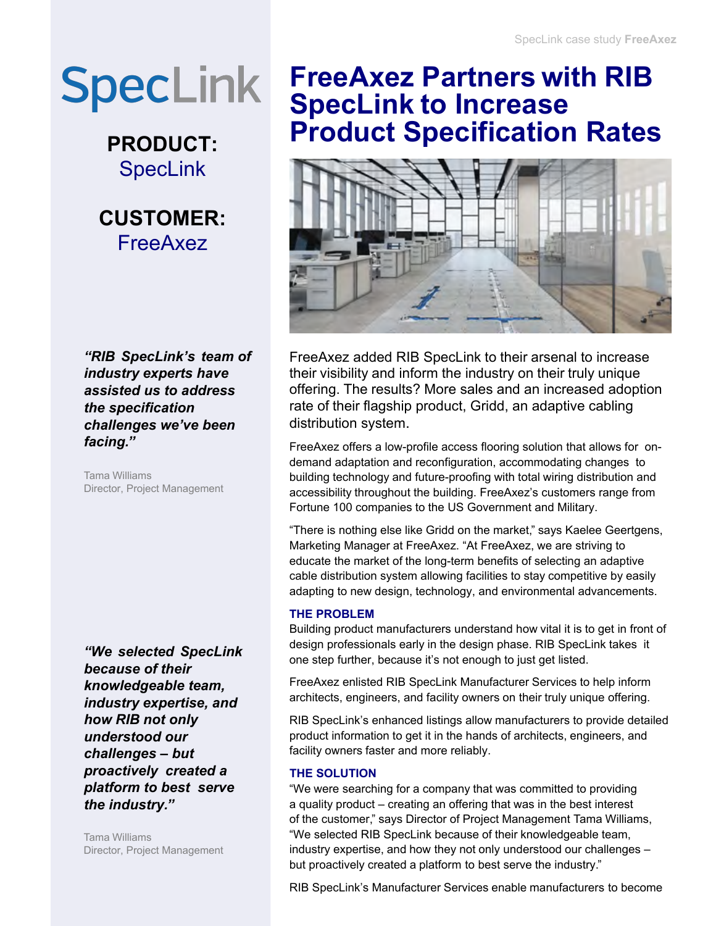# **SpecLink**

**PRODUCT: SpecLink** 



*"RIB SpecLink's team of industry experts have assisted us to address the specification challenges we've been facing."*

Tama Williams Director, Project Management

*"We selected SpecLink because of their knowledgeable team, industry expertise, and how RIB not only understood our challenges – but proactively created a platform to best serve the industry."*

Tama Williams Director, Project Management

### **FreeAxez Partners with RIB SpecLink to Increase Product Specification Rates**



FreeAxez added RIB SpecLink to their arsenal to increase their visibility and inform the industry on their truly unique offering. The results? More sales and an increased adoption rate of their flagship product, Gridd, an adaptive cabling distribution system.

FreeAxez offers a low-profile access flooring solution that allows for ondemand adaptation and reconfiguration, accommodating changes to building technology and future-proofing with total wiring distribution and accessibility throughout the building. FreeAxez's customers range from Fortune 100 companies to the US Government and Military.

"There is nothing else like Gridd on the market," says Kaelee Geertgens, Marketing Manager at FreeAxez. "At FreeAxez, we are striving to educate the market of the long-term benefits of selecting an adaptive cable distribution system allowing facilities to stay competitive by easily adapting to new design, technology, and environmental advancements.

#### **THE PROBLEM**

Building product manufacturers understand how vital it is to get in front of design professionals early in the design phase. RIB SpecLink takes it one step further, because it's not enough to just get listed.

FreeAxez enlisted RIB SpecLink Manufacturer Services to help inform architects, engineers, and facility owners on their truly unique offering.

RIB SpecLink's enhanced listings allow manufacturers to provide detailed product information to get it in the hands of architects, engineers, and facility owners faster and more reliably.

#### **THE SOLUTION**

"We were searching for a company that was committed to providing a quality product – creating an offering that was in the best interest of the customer," says Director of Project Management Tama Williams, "We selected RIB SpecLink because of their knowledgeable team, industry expertise, and how they not only understood our challenges – but proactively created a platform to best serve the industry."

RIB SpecLink's Manufacturer Services enable manufacturers to become